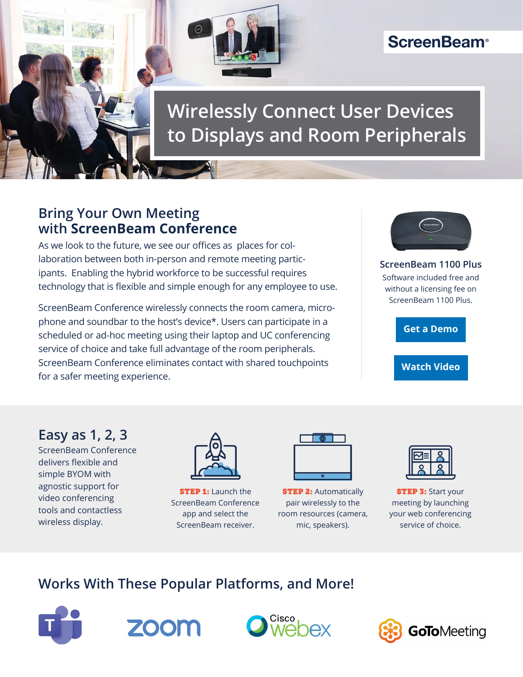

# **ScreenBeam®**

# **Wirelessly Connect User Devices to Displays and Room Peripherals**

### **Bring Your Own Meeting with ScreenBeam Conference**

As we look to the future, we see our offices as  places for collaboration between both in-person and remote meeting participants.  Enabling the hybrid workforce to be successful requires technology that is flexible and simple enough for any employee to use.

ScreenBeam Conference wirelessly connects the room camera, microphone and soundbar to the host's device\*. Users can participate in a scheduled or ad-hoc meeting using their laptop and UC conferencing service of choice and take full advantage of the room peripherals. ScreenBeam Conference eliminates contact with shared touchpoints for a safer meeting experience.



**ScreenBeam 1100 Plus** Software included free and without a licensing fee on ScreenBeam 1100 Plus.

**[Get a Demo](https://www.screenbeam.com/contact-us/)**

**[Watch Video](https://youtu.be/91Do82MRIYU)**

### **Easy as 1, 2, 3**

ScreenBeam Conference delivers flexible and simple BYOM with agnostic support for video conferencing tools and contactless wireless display.



**STEP 1:** Launch the ScreenBeam Conference app and select the ScreenBeam receiver.

**STEP 2: Automatically** pair wirelessly to the room resources (camera, mic, speakers).

**STEP 3: Start your** meeting by launching your web conferencing service of choice.

## **Works With These Popular Platforms, and More!**